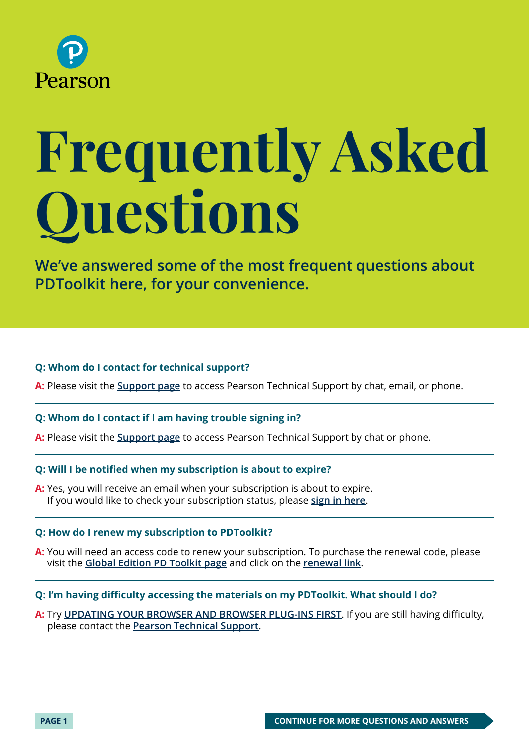

# **Frequently Asked Questions**

**We've answered some of the most frequent questions about PDToolkit here, for your convenience.** 

# **Q: Whom do I contact for technical support?**

**A:** Please visit the **[Support page](https://support.pearson.com/getsupport/s/)** to access Pearson Technical Support by chat, email, or phone.

# **Q: Whom do I contact if I am having trouble signing in?**

**A:** Please visit the **[Support page](https://support.pearson.com/getsupport/s/)** to access Pearson Technical Support by chat or phone.

# **Q: Will I be notified when my subscription is about to expire?**

**A:** Yes, you will receive an email when your subscription is about to expire. If you would like to check your subscription status, please **[sign in here](http://account.mypearson.com/?#login)**.

# **Q: How do I renew my subscription to PDToolkit?**

**A:** You will need an access code to renew your subscription. To purchase the renewal code, please visit the **[Global Edition PD Toolkit page](https://media.pearsoncmg.com/intl/ema/global/cr2016/ema_ge_pdtoolkit_6ge/login.html)** and click on the **[renewal link](https://register.pearsoncmg.com/reg/include/consent.jsp?originalDest=/reg/buy/buy1.jsp?productID=576587)**.

# **Q: I'm having difficulty accessing the materials on my PDToolkit. What should I do?**

**A:** Try **[UPDATING YOUR BROWSER AND BROWSER PLUG-INS FIRST](https://support.pearson.com/getsupport/s/article/Browser-Settings)**. If you are still having difficulty, please contact the **[Pearson Technical Support](https://support.pearson.com/getsupport/s/)**.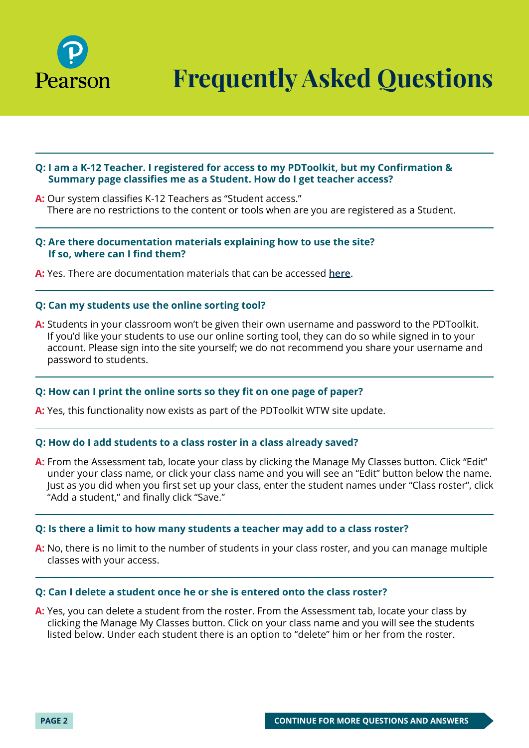

**Frequently Asked Questions**

# **Q: I am a K-12 Teacher. I registered for access to my PDToolkit, but my Confirmation & Summary page classifies me as a Student. How do I get teacher access?**

**A:** Our system classifies K-12 Teachers as "Student access." There are no restrictions to the content or tools when are you are registered as a Student.

# **Q: Are there documentation materials explaining how to use the site? If so, where can I find them?**

**A:** Yes. There are documentation materials that can be accessed **[here](https://media.pearsoncmg.com/ph/chet/pd_toolkit/howtouse.pdf)**.

# **Q: Can my students use the online sorting tool?**

**A:** Students in your classroom won't be given their own username and password to the PDToolkit. If you'd like your students to use our online sorting tool, they can do so while signed in to your account. Please sign into the site yourself; we do not recommend you share your username and password to students.

# **Q: How can I print the online sorts so they fit on one page of paper?**

**A:** Yes, this functionality now exists as part of the PDToolkit WTW site update.

# **Q: How do I add students to a class roster in a class already saved?**

**A:** From the Assessment tab, locate your class by clicking the Manage My Classes button. Click "Edit" under your class name, or click your class name and you will see an "Edit" button below the name. Just as you did when you first set up your class, enter the student names under "Class roster", click "Add a student," and finally click "Save."

# **Q: Is there a limit to how many students a teacher may add to a class roster?**

**A:** No, there is no limit to the number of students in your class roster, and you can manage multiple classes with your access.

#### **Q: Can I delete a student once he or she is entered onto the class roster?**

**A:** Yes, you can delete a student from the roster. From the Assessment tab, locate your class by clicking the Manage My Classes button. Click on your class name and you will see the students listed below. Under each student there is an option to "delete" him or her from the roster.

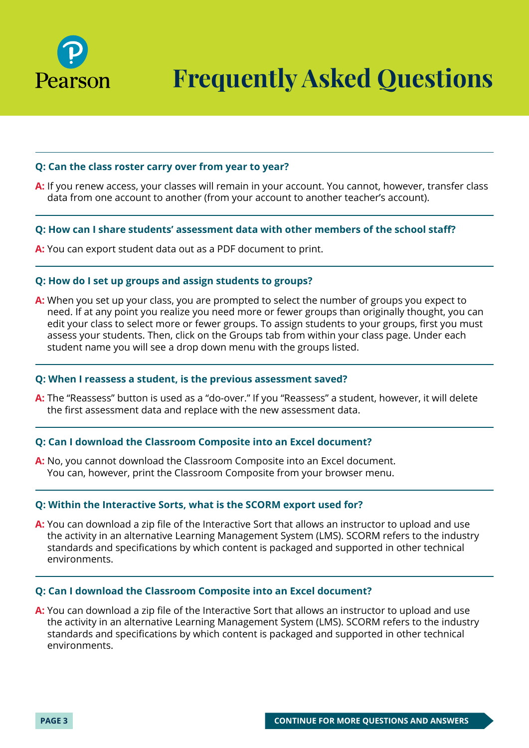

# **Q: Can the class roster carry over from year to year?**

**A:** If you renew access, your classes will remain in your account. You cannot, however, transfer class data from one account to another (from your account to another teacher's account).

# **Q: How can I share students' assessment data with other members of the school staff?**

**A:** You can export student data out as a PDF document to print.

# **Q: How do I set up groups and assign students to groups?**

**A:** When you set up your class, you are prompted to select the number of groups you expect to need. If at any point you realize you need more or fewer groups than originally thought, you can edit your class to select more or fewer groups. To assign students to your groups, first you must assess your students. Then, click on the Groups tab from within your class page. Under each student name you will see a drop down menu with the groups listed.

### **Q: When I reassess a student, is the previous assessment saved?**

**A:** The "Reassess" button is used as a "do-over." If you "Reassess" a student, however, it will delete the first assessment data and replace with the new assessment data.

# **Q: Can I download the Classroom Composite into an Excel document?**

**A:** No, you cannot download the Classroom Composite into an Excel document. You can, however, print the Classroom Composite from your browser menu.

# **Q: Within the Interactive Sorts, what is the SCORM export used for?**

**A:** You can download a zip file of the Interactive Sort that allows an instructor to upload and use the activity in an alternative Learning Management System (LMS). SCORM refers to the industry standards and specifications by which content is packaged and supported in other technical environments.

#### **Q: Can I download the Classroom Composite into an Excel document?**

**A:** You can download a zip file of the Interactive Sort that allows an instructor to upload and use the activity in an alternative Learning Management System (LMS). SCORM refers to the industry standards and specifications by which content is packaged and supported in other technical environments.